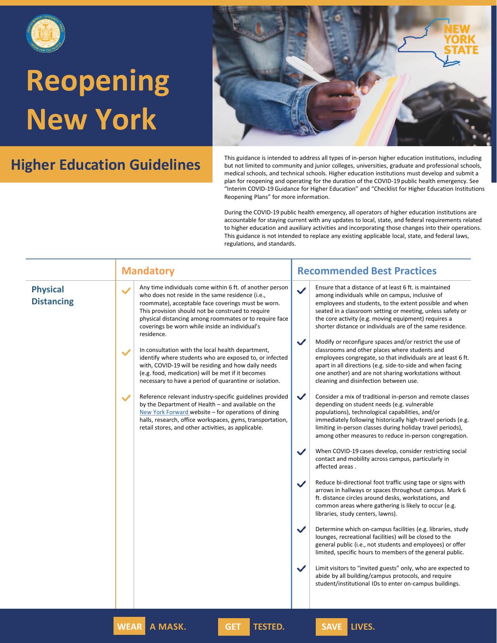



**Higher Education Guidelines** This guidance is intended to address all types of in-person higher education institutions, including but not limited to community and junior colleges, universities, graduate and professional s but not limited to community and junior colleges, universities, graduate and professional schools, medical schools, and technical schools. Higher education institutions must develop and submit a plan for reopening and operating for the duration of the COVID-19 public health emergency. See "Interim COVID-19 Guidance for Higher Education" and "Checklist for Higher Education Institutions Reopening Plans" for more information.

|                                      | <b>Mandatory</b>                                                                                                                                                                                                                                                                                                                                                                                                                                                                                                                                                                                                                                                                                                                                                                                                                                                                                                                                                                     | <b>Recommended Best Practices</b>                                                                                                                                                                                                                                                                                                                                                                                                                                                                                                                                                                                                                                                                                                                                                                                                                                                                                                                                                                                                                                                                                                                                                                                                                                                                                                                                                                                                                                                                                                                                                                                                                                                                                                                                                                                                         |
|--------------------------------------|--------------------------------------------------------------------------------------------------------------------------------------------------------------------------------------------------------------------------------------------------------------------------------------------------------------------------------------------------------------------------------------------------------------------------------------------------------------------------------------------------------------------------------------------------------------------------------------------------------------------------------------------------------------------------------------------------------------------------------------------------------------------------------------------------------------------------------------------------------------------------------------------------------------------------------------------------------------------------------------|-------------------------------------------------------------------------------------------------------------------------------------------------------------------------------------------------------------------------------------------------------------------------------------------------------------------------------------------------------------------------------------------------------------------------------------------------------------------------------------------------------------------------------------------------------------------------------------------------------------------------------------------------------------------------------------------------------------------------------------------------------------------------------------------------------------------------------------------------------------------------------------------------------------------------------------------------------------------------------------------------------------------------------------------------------------------------------------------------------------------------------------------------------------------------------------------------------------------------------------------------------------------------------------------------------------------------------------------------------------------------------------------------------------------------------------------------------------------------------------------------------------------------------------------------------------------------------------------------------------------------------------------------------------------------------------------------------------------------------------------------------------------------------------------------------------------------------------------|
| <b>Physical</b><br><b>Distancing</b> | Any time individuals come within 6 ft. of another person<br>$\checkmark$<br>who does not reside in the same residence (i.e.,<br>roommate), acceptable face coverings must be worn.<br>This provision should not be construed to require<br>physical distancing among roommates or to require face<br>coverings be worn while inside an individual's<br>residence.<br>In consultation with the local health department,<br>$\checkmark$<br>identify where students who are exposed to, or infected<br>with, COVID-19 will be residing and how daily needs<br>(e.g. food, medication) will be met if it becomes<br>necessary to have a period of quarantine or isolation.<br>Reference relevant industry-specific guidelines provided<br>$\checkmark$<br>by the Department of Health - and available on the<br>New York Forward website – for operations of dining<br>halls, research, office workspaces, gyms, transportation,<br>retail stores, and other activities, as applicable. | Ensure that a distance of at least 6 ft. is maintained<br>$\checkmark$<br>among individuals while on campus, inclusive of<br>employees and students, to the extent possible and when<br>seated in a classroom setting or meeting, unless safety or<br>the core activity (e.g. moving equipment) requires a<br>shorter distance or individuals are of the same residence.<br>$\checkmark$<br>Modify or reconfigure spaces and/or restrict the use of<br>classrooms and other places where students and<br>employees congregate, so that individuals are at least 6 ft.<br>apart in all directions (e.g. side-to-side and when facing<br>one another) and are not sharing workstations without<br>cleaning and disinfection between use.<br>$\checkmark$<br>Consider a mix of traditional in-person and remote classes<br>depending on student needs (e.g. vulnerable<br>populations), technological capabilities, and/or<br>immediately following historically high-travel periods (e.g.<br>limiting in-person classes during holiday travel periods),<br>among other measures to reduce in-person congregation.<br>$\checkmark$<br>When COVID-19 cases develop, consider restricting social<br>contact and mobility across campus, particularly in<br>affected areas.<br>Reduce bi-directional foot traffic using tape or signs with<br>$\checkmark$<br>arrows in hallways or spaces throughout campus. Mark 6<br>ft. distance circles around desks, workstations, and<br>common areas where gathering is likely to occur (e.g.<br>libraries, study centers, lawns).<br>$\checkmark$<br>Determine which on-campus facilities (e.g. libraries, study<br>lounges, recreational facilities) will be closed to the<br>general public (i.e., not students and employees) or offer<br>limited, specific hours to members of the general public. |
|                                      |                                                                                                                                                                                                                                                                                                                                                                                                                                                                                                                                                                                                                                                                                                                                                                                                                                                                                                                                                                                      | $\checkmark$<br>Limit visitors to "invited guests" only, who are expected to<br>abide by all building/campus protocols, and require<br>student/institutional IDs to enter on-campus buildings.                                                                                                                                                                                                                                                                                                                                                                                                                                                                                                                                                                                                                                                                                                                                                                                                                                                                                                                                                                                                                                                                                                                                                                                                                                                                                                                                                                                                                                                                                                                                                                                                                                            |
|                                      | <b>WEAR</b><br>A MASK.<br><b>TESTED.</b><br><b>GET</b>                                                                                                                                                                                                                                                                                                                                                                                                                                                                                                                                                                                                                                                                                                                                                                                                                                                                                                                               | SAVE LIVES.                                                                                                                                                                                                                                                                                                                                                                                                                                                                                                                                                                                                                                                                                                                                                                                                                                                                                                                                                                                                                                                                                                                                                                                                                                                                                                                                                                                                                                                                                                                                                                                                                                                                                                                                                                                                                               |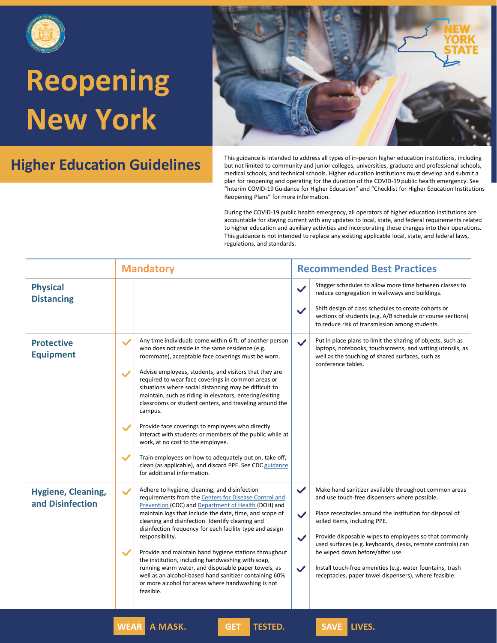



**Higher Education Guidelines** This guidance is intended to address all types of in-person higher education institutions, including but not limited to community and junior colleges, universities, graduate and professional s but not limited to community and junior colleges, universities, graduate and professional schools, medical schools, and technical schools. Higher education institutions must develop and submit a plan for reopening and operating for the duration of the COVID-19 public health emergency. See "Interim COVID-19 Guidance for Higher Education" and "Checklist for Higher Education Institutions Reopening Plans" for more information.

|                                               | <b>Mandatory</b>                                                                                                                                                                                                                                                                                                                                                                                                                                                                                                                                                                                                                                                                                                                                                                                                                                       | <b>Recommended Best Practices</b>                                                                                                                                                                                                                                                                                                                                                                                                                                                                                                                   |
|-----------------------------------------------|--------------------------------------------------------------------------------------------------------------------------------------------------------------------------------------------------------------------------------------------------------------------------------------------------------------------------------------------------------------------------------------------------------------------------------------------------------------------------------------------------------------------------------------------------------------------------------------------------------------------------------------------------------------------------------------------------------------------------------------------------------------------------------------------------------------------------------------------------------|-----------------------------------------------------------------------------------------------------------------------------------------------------------------------------------------------------------------------------------------------------------------------------------------------------------------------------------------------------------------------------------------------------------------------------------------------------------------------------------------------------------------------------------------------------|
| <b>Physical</b><br><b>Distancing</b>          |                                                                                                                                                                                                                                                                                                                                                                                                                                                                                                                                                                                                                                                                                                                                                                                                                                                        | Stagger schedules to allow more time between classes to<br>$\checkmark$<br>reduce congregation in walkways and buildings.<br>Shift design of class schedules to create cohorts or<br>$\checkmark$<br>sections of students (e.g. A/B schedule or course sections)<br>to reduce risk of transmission among students.                                                                                                                                                                                                                                  |
| <b>Protective</b><br><b>Equipment</b>         | Any time individuals come within 6 ft. of another person<br>$\checkmark$<br>who does not reside in the same residence (e.g.<br>roommate), acceptable face coverings must be worn.<br>Advise employees, students, and visitors that they are<br>$\checkmark$<br>required to wear face coverings in common areas or<br>situations where social distancing may be difficult to<br>maintain, such as riding in elevators, entering/exiting<br>classrooms or student centers, and traveling around the<br>campus.<br>Provide face coverings to employees who directly<br>$\checkmark$<br>interact with students or members of the public while at<br>work, at no cost to the employee.<br>$\checkmark$<br>Train employees on how to adequately put on, take off,<br>clean (as applicable), and discard PPE. See CDC guidance<br>for additional information. | Put in place plans to limit the sharing of objects, such as<br>$\checkmark$<br>laptops, notebooks, touchscreens, and writing utensils, as<br>well as the touching of shared surfaces, such as<br>conference tables.                                                                                                                                                                                                                                                                                                                                 |
| <b>Hygiene, Cleaning,</b><br>and Disinfection | Adhere to hygiene, cleaning, and disinfection<br>$\checkmark$<br>requirements from the Centers for Disease Control and<br>Prevention (CDC) and Department of Health (DOH) and<br>maintain logs that include the date, time, and scope of<br>cleaning and disinfection. Identify cleaning and<br>disinfection frequency for each facility type and assign<br>responsibility.<br>Provide and maintain hand hygiene stations throughout<br>$\checkmark$<br>the institution, including handwashing with soap,<br>running warm water, and disposable paper towels, as<br>well as an alcohol-based hand sanitizer containing 60%<br>or more alcohol for areas where handwashing is not<br>feasible.                                                                                                                                                          | $\checkmark$<br>Make hand sanitizer available throughout common areas<br>and use touch-free dispensers where possible.<br>Place receptacles around the institution for disposal of<br>$\checkmark$<br>soiled items, including PPE.<br>Provide disposable wipes to employees so that commonly<br>$\checkmark$<br>used surfaces (e.g. keyboards, desks, remote controls) can<br>be wiped down before/after use.<br>Install touch-free amenities (e.g. water fountains, trash<br>$\checkmark$<br>receptacles, paper towel dispensers), where feasible. |
|                                               | <b>WEAR A MASK.</b><br><b>TESTED.</b><br><b>GET</b>                                                                                                                                                                                                                                                                                                                                                                                                                                                                                                                                                                                                                                                                                                                                                                                                    | <b>SAVE LIVES.</b>                                                                                                                                                                                                                                                                                                                                                                                                                                                                                                                                  |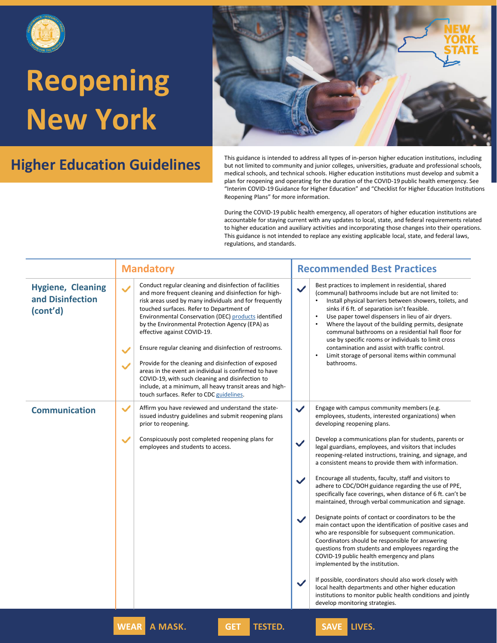



**Higher Education Guidelines** This guidance is intended to address all types of in-person higher education institutions, including but not limited to community and junior colleges, universities, graduate and professional s but not limited to community and junior colleges, universities, graduate and professional schools, medical schools, and technical schools. Higher education institutions must develop and submit a plan for reopening and operating for the duration of the COVID-19 public health emergency. See "Interim COVID-19 Guidance for Higher Education" and "Checklist for Higher Education Institutions Reopening Plans" for more information.

|                                                          | <b>Mandatory</b>                                                                                                                                                                                                                                                                                                                                                                                                                                                                                                                                                                                                                                                                                                                                        | <b>Recommended Best Practices</b>                                                                                                                                                                                                                                                                                                                                                                                                                                                                                                                                                                                        |
|----------------------------------------------------------|---------------------------------------------------------------------------------------------------------------------------------------------------------------------------------------------------------------------------------------------------------------------------------------------------------------------------------------------------------------------------------------------------------------------------------------------------------------------------------------------------------------------------------------------------------------------------------------------------------------------------------------------------------------------------------------------------------------------------------------------------------|--------------------------------------------------------------------------------------------------------------------------------------------------------------------------------------------------------------------------------------------------------------------------------------------------------------------------------------------------------------------------------------------------------------------------------------------------------------------------------------------------------------------------------------------------------------------------------------------------------------------------|
| <b>Hygiene, Cleaning</b><br>and Disinfection<br>(cont'd) | Conduct regular cleaning and disinfection of facilities<br>$\checkmark$<br>and more frequent cleaning and disinfection for high-<br>risk areas used by many individuals and for frequently<br>touched surfaces. Refer to Department of<br>Environmental Conservation (DEC) products identified<br>by the Environmental Protection Agency (EPA) as<br>effective against COVID-19.<br>Ensure regular cleaning and disinfection of restrooms.<br>$\checkmark$<br>Provide for the cleaning and disinfection of exposed<br>$\checkmark$<br>areas in the event an individual is confirmed to have<br>COVID-19, with such cleaning and disinfection to<br>include, at a minimum, all heavy transit areas and high-<br>touch surfaces. Refer to CDC guidelines. | Best practices to implement in residential, shared<br>$\checkmark$<br>(communal) bathrooms include but are not limited to:<br>Install physical barriers between showers, toilets, and<br>sinks if 6 ft. of separation isn't feasible.<br>Use paper towel dispensers in lieu of air dryers.<br>$\bullet$<br>Where the layout of the building permits, designate<br>$\bullet$<br>communal bathrooms on a residential hall floor for<br>use by specific rooms or individuals to limit cross<br>contamination and assist with traffic control.<br>Limit storage of personal items within communal<br>$\bullet$<br>bathrooms. |
| <b>Communication</b>                                     | $\checkmark$<br>Affirm you have reviewed and understand the state-<br>issued industry guidelines and submit reopening plans<br>prior to reopening.                                                                                                                                                                                                                                                                                                                                                                                                                                                                                                                                                                                                      | $\checkmark$<br>Engage with campus community members (e.g.<br>employees, students, interested organizations) when<br>developing reopening plans.                                                                                                                                                                                                                                                                                                                                                                                                                                                                         |
|                                                          | $\checkmark$<br>Conspicuously post completed reopening plans for<br>employees and students to access.                                                                                                                                                                                                                                                                                                                                                                                                                                                                                                                                                                                                                                                   | Develop a communications plan for students, parents or<br>$\checkmark$<br>legal guardians, employees, and visitors that includes<br>reopening-related instructions, training, and signage, and<br>a consistent means to provide them with information.                                                                                                                                                                                                                                                                                                                                                                   |
|                                                          |                                                                                                                                                                                                                                                                                                                                                                                                                                                                                                                                                                                                                                                                                                                                                         | Encourage all students, faculty, staff and visitors to<br>$\checkmark$<br>adhere to CDC/DOH guidance regarding the use of PPE,<br>specifically face coverings, when distance of 6 ft. can't be<br>maintained, through verbal communication and signage.                                                                                                                                                                                                                                                                                                                                                                  |
|                                                          |                                                                                                                                                                                                                                                                                                                                                                                                                                                                                                                                                                                                                                                                                                                                                         | Designate points of contact or coordinators to be the<br>$\checkmark$<br>main contact upon the identification of positive cases and<br>who are responsible for subsequent communication.<br>Coordinators should be responsible for answering<br>questions from students and employees regarding the<br>COVID-19 public health emergency and plans<br>implemented by the institution.                                                                                                                                                                                                                                     |
|                                                          |                                                                                                                                                                                                                                                                                                                                                                                                                                                                                                                                                                                                                                                                                                                                                         | If possible, coordinators should also work closely with<br>$\checkmark$<br>local health departments and other higher education<br>institutions to monitor public health conditions and jointly<br>develop monitoring strategies.                                                                                                                                                                                                                                                                                                                                                                                         |
|                                                          | <b>WEAR</b><br>A MASK.<br><b>TESTED.</b><br><b>GET</b>                                                                                                                                                                                                                                                                                                                                                                                                                                                                                                                                                                                                                                                                                                  | <b>LIVES.</b><br><b>SAVE</b>                                                                                                                                                                                                                                                                                                                                                                                                                                                                                                                                                                                             |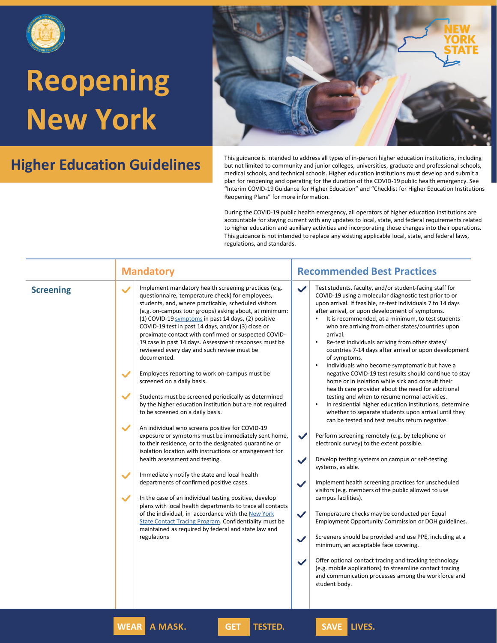



**Higher Education Guidelines** This guidance is intended to address all types of in-person higher education institutions, including but not limited to community and junior colleges, universities, graduate and professional s but not limited to community and junior colleges, universities, graduate and professional schools, medical schools, and technical schools. Higher education institutions must develop and submit a plan for reopening and operating for the duration of the COVID-19 public health emergency. See "Interim COVID-19 Guidance for Higher Education" and "Checklist for Higher Education Institutions Reopening Plans" for more information.

> During the COVID-19 public health emergency, all operators of higher education institutions are accountable for staying current with any updates to local, state, and federal requirements related to higher education and auxiliary activities and incorporating those changes into their operations. This guidance is not intended to replace any existing applicable local, state, and federal laws, regulations, and standards.

|                  | <b>Mandatory</b>                                                                                                                                                                                                                                                                                                                                                                                                                                                                                                                                                                                                                                                                                                                                                                                                                                                                                                                                                                                                                                                                                                                                                                                                                                                                                                                                                                                                                                                        | <b>Recommended Best Practices</b>                                                                                                                                                                                                                                                                                                                                                                                                                                                                                                                                                                                                                                                                                                                                                                                                                                                                                                                                                                                                                                                                                                                                                                                                                                                                                                                                                                                                                                                                                                                                                                                                                                                                                                                                                                          |
|------------------|-------------------------------------------------------------------------------------------------------------------------------------------------------------------------------------------------------------------------------------------------------------------------------------------------------------------------------------------------------------------------------------------------------------------------------------------------------------------------------------------------------------------------------------------------------------------------------------------------------------------------------------------------------------------------------------------------------------------------------------------------------------------------------------------------------------------------------------------------------------------------------------------------------------------------------------------------------------------------------------------------------------------------------------------------------------------------------------------------------------------------------------------------------------------------------------------------------------------------------------------------------------------------------------------------------------------------------------------------------------------------------------------------------------------------------------------------------------------------|------------------------------------------------------------------------------------------------------------------------------------------------------------------------------------------------------------------------------------------------------------------------------------------------------------------------------------------------------------------------------------------------------------------------------------------------------------------------------------------------------------------------------------------------------------------------------------------------------------------------------------------------------------------------------------------------------------------------------------------------------------------------------------------------------------------------------------------------------------------------------------------------------------------------------------------------------------------------------------------------------------------------------------------------------------------------------------------------------------------------------------------------------------------------------------------------------------------------------------------------------------------------------------------------------------------------------------------------------------------------------------------------------------------------------------------------------------------------------------------------------------------------------------------------------------------------------------------------------------------------------------------------------------------------------------------------------------------------------------------------------------------------------------------------------------|
| <b>Screening</b> | Implement mandatory health screening practices (e.g.<br>$\checkmark$<br>questionnaire, temperature check) for employees,<br>students, and, where practicable, scheduled visitors<br>(e.g. on-campus tour groups) asking about, at minimum:<br>(1) COVID-19 symptoms in past 14 days, (2) positive<br>COVID-19 test in past 14 days, and/or (3) close or<br>proximate contact with confirmed or suspected COVID-<br>19 case in past 14 days. Assessment responses must be<br>reviewed every day and such review must be<br>documented.<br>Employees reporting to work on-campus must be<br>screened on a daily basis.<br>Students must be screened periodically as determined<br>by the higher education institution but are not required<br>to be screened on a daily basis.<br>An individual who screens positive for COVID-19<br>exposure or symptoms must be immediately sent home,<br>to their residence, or to the designated quarantine or<br>isolation location with instructions or arrangement for<br>health assessment and testing.<br>Immediately notify the state and local health<br>departments of confirmed positive cases.<br>$\checkmark$<br>In the case of an individual testing positive, develop<br>plans with local health departments to trace all contacts<br>of the individual, in accordance with the New York<br>State Contact Tracing Program. Confidentiality must be<br>maintained as required by federal and state law and<br>regulations | Test students, faculty, and/or student-facing staff for<br>$\checkmark$<br>COVID-19 using a molecular diagnostic test prior to or<br>upon arrival. If feasible, re-test individuals 7 to 14 days<br>after arrival, or upon development of symptoms.<br>It is recommended, at a minimum, to test students<br>who are arriving from other states/countries upon<br>arrival.<br>Re-test individuals arriving from other states/<br>$\bullet$<br>countries 7-14 days after arrival or upon development<br>of symptoms.<br>Individuals who become symptomatic but have a<br>$\bullet$<br>negative COVID-19 test results should continue to stay<br>home or in isolation while sick and consult their<br>health care provider about the need for additional<br>testing and when to resume normal activities.<br>In residential higher education institutions, determine<br>whether to separate students upon arrival until they<br>can be tested and test results return negative.<br>Perform screening remotely (e.g. by telephone or<br>$\checkmark$<br>electronic survey) to the extent possible.<br>Develop testing systems on campus or self-testing<br>$\checkmark$<br>systems, as able.<br>Implement health screening practices for unscheduled<br>$\checkmark$<br>visitors (e.g. members of the public allowed to use<br>campus facilities).<br>Temperature checks may be conducted per Equal<br>$\checkmark$<br>Employment Opportunity Commission or DOH guidelines.<br>Screeners should be provided and use PPE, including at a<br>$\checkmark$<br>minimum, an acceptable face covering.<br>Offer optional contact tracing and tracking technology<br>$\checkmark$<br>(e.g. mobile applications) to streamline contact tracing<br>and communication processes among the workforce and<br>student body. |

**WEAR A MASK. GET TESTED. SAVE LIVES.**